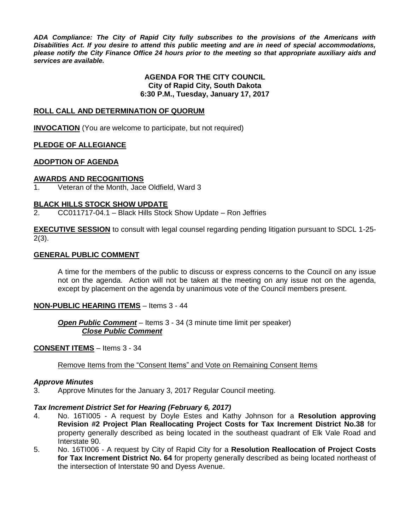*ADA Compliance: The City of Rapid City fully subscribes to the provisions of the Americans with Disabilities Act. If you desire to attend this public meeting and are in need of special accommodations, please notify the City Finance Office 24 hours prior to the meeting so that appropriate auxiliary aids and services are available.*

#### **AGENDA FOR THE CITY COUNCIL City of Rapid City, South Dakota 6:30 P.M., Tuesday, January 17, 2017**

#### **ROLL CALL AND DETERMINATION OF QUORUM**

**INVOCATION** (You are welcome to participate, but not required)

#### **PLEDGE OF ALLEGIANCE**

#### **ADOPTION OF AGENDA**

#### **AWARDS AND RECOGNITIONS**

1. Veteran of the Month, Jace Oldfield, Ward 3

#### **BLACK HILLS STOCK SHOW UPDATE**

2. CC011717-04.1 – Black Hills Stock Show Update – Ron Jeffries

**EXECUTIVE SESSION** to consult with legal counsel regarding pending litigation pursuant to SDCL 1-25- 2(3).

#### **GENERAL PUBLIC COMMENT**

A time for the members of the public to discuss or express concerns to the Council on any issue not on the agenda. Action will not be taken at the meeting on any issue not on the agenda, except by placement on the agenda by unanimous vote of the Council members present.

#### **NON-PUBLIC HEARING ITEMS** – Items 3 - 44

*Open Public Comment* – Items 3 - 34 (3 minute time limit per speaker) *Close Public Comment*

#### **CONSENT ITEMS** – Items 3 - 34

Remove Items from the "Consent Items" and Vote on Remaining Consent Items

#### *Approve Minutes*

3. Approve Minutes for the January 3, 2017 Regular Council meeting.

#### *Tax Increment District Set for Hearing (February 6, 2017)*

- 4. No. 16TI005 A request by Doyle Estes and Kathy Johnson for a **Resolution approving Revision #2 Project Plan Reallocating Project Costs for Tax Increment District No.38** for property generally described as being located in the southeast quadrant of Elk Vale Road and Interstate 90.
- 5. No. 16TI006 A request by City of Rapid City for a **Resolution Reallocation of Project Costs for Tax Increment District No. 64** for property generally described as being located northeast of the intersection of Interstate 90 and Dyess Avenue.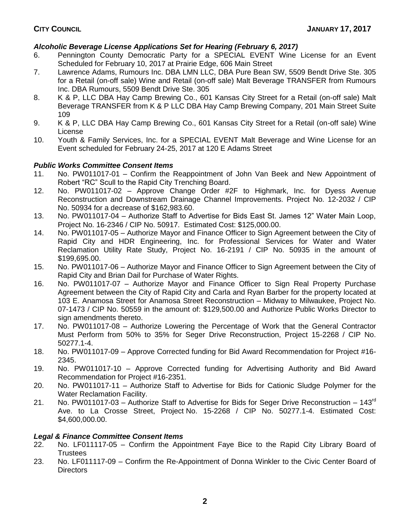# *Alcoholic Beverage License Applications Set for Hearing (February 6, 2017)*

- 6. Pennington County Democratic Party for a SPECIAL EVENT Wine License for an Event Scheduled for February 10, 2017 at Prairie Edge, 606 Main Street
- 7. Lawrence Adams, Rumours Inc. DBA LMN LLC, DBA Pure Bean SW, 5509 Bendt Drive Ste. 305 for a Retail (on-off sale) Wine and Retail (on-off sale) Malt Beverage TRANSFER from Rumours Inc. DBA Rumours, 5509 Bendt Drive Ste. 305
- 8. K & P, LLC DBA Hay Camp Brewing Co., 601 Kansas City Street for a Retail (on-off sale) Malt Beverage TRANSFER from K & P LLC DBA Hay Camp Brewing Company, 201 Main Street Suite 109
- 9. K & P, LLC DBA Hay Camp Brewing Co., 601 Kansas City Street for a Retail (on-off sale) Wine License
- 10. Youth & Family Services, Inc. for a SPECIAL EVENT Malt Beverage and Wine License for an Event scheduled for February 24-25, 2017 at 120 E Adams Street

## *Public Works Committee Consent Items*

- 11. No. PW011017-01 Confirm the Reappointment of John Van Beek and New Appointment of Robert "RC" Scull to the Rapid City Trenching Board.
- 12. No. PW011017-02 Approve Change Order #2F to Highmark, Inc. for Dyess Avenue Reconstruction and Downstream Drainage Channel Improvements. Project No. 12-2032 / CIP No. 50934 for a decrease of \$162,983.60.
- 13. No. PW011017-04 Authorize Staff to Advertise for Bids East St. James 12" Water Main Loop, Project No. 16-2346 / CIP No. 50917. Estimated Cost: \$125,000.00.
- 14. No. PW011017-05 Authorize Mayor and Finance Officer to Sign Agreement between the City of Rapid City and HDR Engineering, Inc. for Professional Services for Water and Water Reclamation Utility Rate Study, Project No. 16-2191 / CIP No. 50935 in the amount of \$199,695.00.
- 15. No. PW011017-06 Authorize Mayor and Finance Officer to Sign Agreement between the City of Rapid City and Brian Dail for Purchase of Water Rights.
- 16. No. PW011017-07 Authorize Mayor and Finance Officer to Sign Real Property Purchase Agreement between the City of Rapid City and Carla and Ryan Barber for the property located at 103 E. Anamosa Street for Anamosa Street Reconstruction – Midway to Milwaukee, Project No. 07-1473 / CIP No. 50559 in the amount of: \$129,500.00 and Authorize Public Works Director to sign amendments thereto.
- 17. No. PW011017-08 Authorize Lowering the Percentage of Work that the General Contractor Must Perform from 50% to 35% for Seger Drive Reconstruction, Project 15-2268 / CIP No. 50277.1-4.
- 18. No. PW011017-09 Approve Corrected funding for Bid Award Recommendation for Project #16- 2345.
- 19. No. PW011017-10 Approve Corrected funding for Advertising Authority and Bid Award Recommendation for Project #16-2351.
- 20. No. PW011017-11 Authorize Staff to Advertise for Bids for Cationic Sludge Polymer for the Water Reclamation Facility.
- 21. No. PW011017-03 Authorize Staff to Advertise for Bids for Seger Drive Reconstruction  $143^{\text{rd}}$ Ave. to La Crosse Street, Project No. 15-2268 / CIP No. 50277.1-4. Estimated Cost: \$4,600,000.00.

# *Legal & Finance Committee Consent Items*

- 22. No. LF011117-05 Confirm the Appointment Faye Bice to the Rapid City Library Board of **Trustees**
- 23. No. LF011117-09 Confirm the Re-Appointment of Donna Winkler to the Civic Center Board of Directors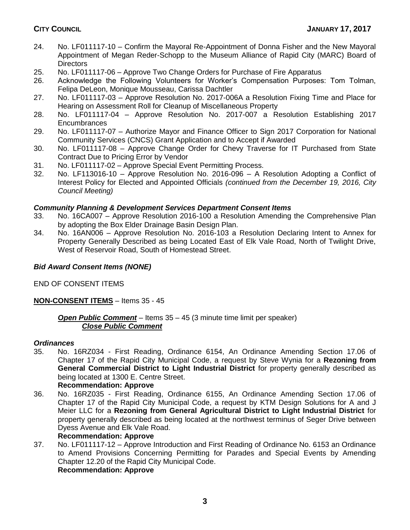- 24. No. LF011117-10 Confirm the Mayoral Re-Appointment of Donna Fisher and the New Mayoral Appointment of Megan Reder-Schopp to the Museum Alliance of Rapid City (MARC) Board of **Directors**
- 25. No. LF011117-06 Approve Two Change Orders for Purchase of Fire Apparatus
- 26. Acknowledge the Following Volunteers for Worker's Compensation Purposes: Tom Tolman, Felipa DeLeon, Monique Mousseau, Carissa Dachtler
- 27. No. LF011117-03 Approve Resolution No. 2017-006A a Resolution Fixing Time and Place for Hearing on Assessment Roll for Cleanup of Miscellaneous Property
- 28. No. LF011117-04 Approve Resolution No. 2017-007 a Resolution Establishing 2017 Encumbrances
- 29. No. LF011117-07 Authorize Mayor and Finance Officer to Sign 2017 Corporation for National Community Services (CNCS) Grant Application and to Accept if Awarded
- 30. No. LF011117-08 Approve Change Order for Chevy Traverse for IT Purchased from State Contract Due to Pricing Error by Vendor
- 31. No. LF011117-02 Approve Special Event Permitting Process.
- 32. No. LF113016-10 Approve Resolution No. 2016-096 A Resolution Adopting a Conflict of Interest Policy for Elected and Appointed Officials *(continued from the December 19, 2016, City Council Meeting)*

## *Community Planning & Development Services Department Consent Items*

- 33. No. 16CA007 Approve Resolution 2016-100 a Resolution Amending the Comprehensive Plan by adopting the Box Elder Drainage Basin Design Plan.
- 34. No. 16AN006 Approve Resolution No. 2016-103 a Resolution Declaring Intent to Annex for Property Generally Described as being Located East of Elk Vale Road, North of Twilight Drive, West of Reservoir Road, South of Homestead Street.

# *Bid Award Consent Items (NONE)*

END OF CONSENT ITEMS

# **NON-CONSENT ITEMS** – Items 35 - 45

## *Open Public Comment* – Items 35 – 45 (3 minute time limit per speaker) *Close Public Comment*

## *Ordinances*

35. No. 16RZ034 - First Reading, Ordinance 6154, An Ordinance Amending Section 17.06 of Chapter 17 of the Rapid City Municipal Code, a request by Steve Wynia for a **Rezoning from General Commercial District to Light Industrial District** for property generally described as being located at 1300 E. Centre Street.

## **Recommendation: Approve**

36. No. 16RZ035 - First Reading, Ordinance 6155, An Ordinance Amending Section 17.06 of Chapter 17 of the Rapid City Municipal Code, a request by KTM Design Solutions for A and J Meier LLC for a **Rezoning from General Agricultural District to Light Industrial District** for property generally described as being located at the northwest terminus of Seger Drive between Dyess Avenue and Elk Vale Road.

## **Recommendation: Approve**

37. No. LF011117-12 – Approve Introduction and First Reading of Ordinance No. 6153 an Ordinance to Amend Provisions Concerning Permitting for Parades and Special Events by Amending Chapter 12.20 of the Rapid City Municipal Code. **Recommendation: Approve**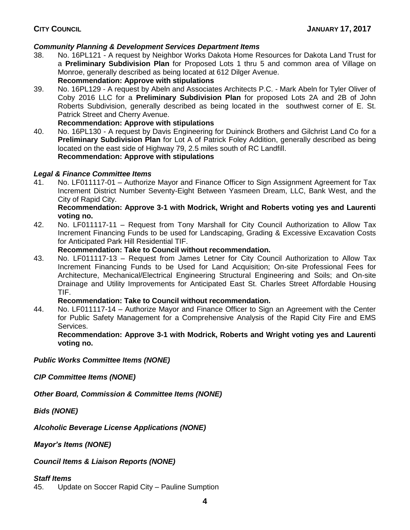# *Community Planning & Development Services Department Items*

- 38. No. 16PL121 A request by Neighbor Works Dakota Home Resources for Dakota Land Trust for a **Preliminary Subdivision Plan** for Proposed Lots 1 thru 5 and common area of Village on Monroe, generally described as being located at 612 Dilger Avenue. **Recommendation: Approve with stipulations**
- 39. No. 16PL129 A request by Abeln and Associates Architects P.C. Mark Abeln for Tyler Oliver of Coby 2016 LLC for a **Preliminary Subdivision Plan** for proposed Lots 2A and 2B of John Roberts Subdivision, generally described as being located in the southwest corner of E. St. Patrick Street and Cherry Avenue.

#### **Recommendation: Approve with stipulations**

40. No. 16PL130 - A request by Davis Engineering for Duininck Brothers and Gilchrist Land Co for a **Preliminary Subdivision Plan** for Lot A of Patrick Foley Addition, generally described as being located on the east side of Highway 79, 2.5 miles south of RC Landfill. **Recommendation: Approve with stipulations**

## *Legal & Finance Committee Items*

41. No. LF011117-01 – Authorize Mayor and Finance Officer to Sign Assignment Agreement for Tax Increment District Number Seventy-Eight Between Yasmeen Dream, LLC, Bank West, and the City of Rapid City.

#### **Recommendation: Approve 3-1 with Modrick, Wright and Roberts voting yes and Laurenti voting no.**

42. No. LF011117-11 – Request from Tony Marshall for City Council Authorization to Allow Tax Increment Financing Funds to be used for Landscaping, Grading & Excessive Excavation Costs for Anticipated Park Hill Residential TIF.

#### **Recommendation: Take to Council without recommendation.**

43. No. LF011117-13 – Request from James Letner for City Council Authorization to Allow Tax Increment Financing Funds to be Used for Land Acquisition; On-site Professional Fees for Architecture, Mechanical/Electrical Engineering Structural Engineering and Soils; and On-site Drainage and Utility Improvements for Anticipated East St. Charles Street Affordable Housing TIF.

## **Recommendation: Take to Council without recommendation.**

44. No. LF011117-14 – Authorize Mayor and Finance Officer to Sign an Agreement with the Center for Public Safety Management for a Comprehensive Analysis of the Rapid City Fire and EMS Services.

**Recommendation: Approve 3-1 with Modrick, Roberts and Wright voting yes and Laurenti voting no.**

*Public Works Committee Items (NONE)*

*CIP Committee Items (NONE)*

*Other Board, Commission & Committee Items (NONE)*

*Bids (NONE)*

*Alcoholic Beverage License Applications (NONE)*

*Mayor's Items (NONE)*

*Council Items & Liaison Reports (NONE)*

*Staff Items*

45. Update on Soccer Rapid City – Pauline Sumption